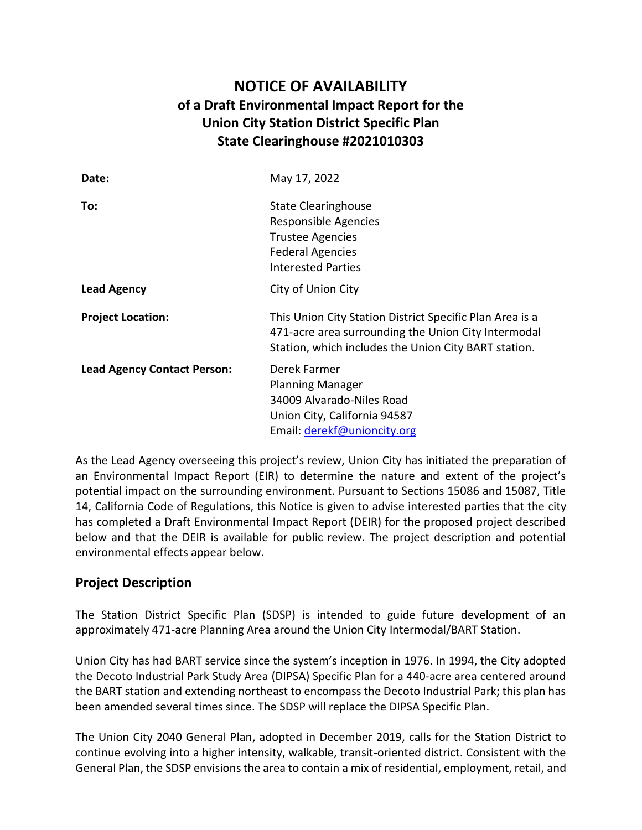# **NOTICE OF AVAILABILITY of a Draft Environmental Impact Report for the Union City Station District Specific Plan State Clearinghouse #2021010303**

| Date:                              | May 17, 2022                                                                                                                                                            |
|------------------------------------|-------------------------------------------------------------------------------------------------------------------------------------------------------------------------|
| To:                                | <b>State Clearinghouse</b><br>Responsible Agencies<br><b>Trustee Agencies</b><br><b>Federal Agencies</b><br><b>Interested Parties</b>                                   |
| <b>Lead Agency</b>                 | City of Union City                                                                                                                                                      |
| <b>Project Location:</b>           | This Union City Station District Specific Plan Area is a<br>471-acre area surrounding the Union City Intermodal<br>Station, which includes the Union City BART station. |
| <b>Lead Agency Contact Person:</b> | Derek Farmer<br><b>Planning Manager</b><br>34009 Alvarado-Niles Road<br>Union City, California 94587<br>Email: derekf@unioncity.org                                     |

As the Lead Agency overseeing this project's review, Union City has initiated the preparation of an Environmental Impact Report (EIR) to determine the nature and extent of the project's potential impact on the surrounding environment. Pursuant to Sections 15086 and 15087, Title 14, California Code of Regulations, this Notice is given to advise interested parties that the city has completed a Draft Environmental Impact Report (DEIR) for the proposed project described below and that the DEIR is available for public review. The project description and potential environmental effects appear below.

#### **Project Description**

The Station District Specific Plan (SDSP) is intended to guide future development of an approximately 471-acre Planning Area around the Union City Intermodal/BART Station.

Union City has had BART service since the system's inception in 1976. In 1994, the City adopted the Decoto Industrial Park Study Area (DIPSA) Specific Plan for a 440-acre area centered around the BART station and extending northeast to encompass the Decoto Industrial Park; this plan has been amended several times since. The SDSP will replace the DIPSA Specific Plan.

The Union City 2040 General Plan, adopted in December 2019, calls for the Station District to continue evolving into a higher intensity, walkable, transit-oriented district. Consistent with the General Plan, the SDSP envisions the area to contain a mix of residential, employment, retail, and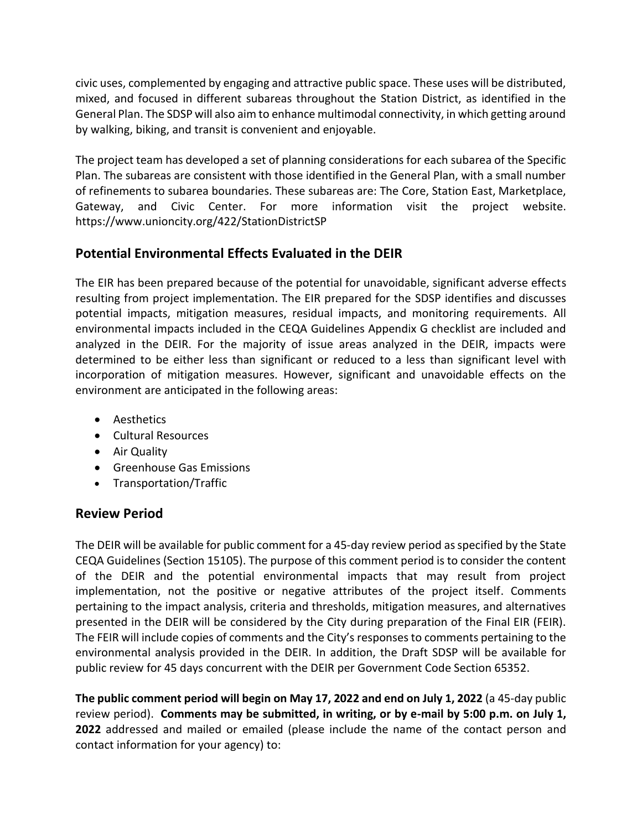civic uses, complemented by engaging and attractive public space. These uses will be distributed, mixed, and focused in different subareas throughout the Station District, as identified in the General Plan. The SDSP will also aim to enhance multimodal connectivity, in which getting around by walking, biking, and transit is convenient and enjoyable.

The project team has developed a set of planning considerations for each subarea of the Specific Plan. The subareas are consistent with those identified in the General Plan, with a small number of refinements to subarea boundaries. These subareas are: The Core, Station East, Marketplace, Gateway, and Civic Center. For more information visit the project website. https://www.unioncity.org/422/StationDistrictSP

## **Potential Environmental Effects Evaluated in the DEIR**

The EIR has been prepared because of the potential for unavoidable, significant adverse effects resulting from project implementation. The EIR prepared for the SDSP identifies and discusses potential impacts, mitigation measures, residual impacts, and monitoring requirements. All environmental impacts included in the CEQA Guidelines Appendix G checklist are included and analyzed in the DEIR. For the majority of issue areas analyzed in the DEIR, impacts were determined to be either less than significant or reduced to a less than significant level with incorporation of mitigation measures. However, significant and unavoidable effects on the environment are anticipated in the following areas:

- Aesthetics
- Cultural Resources
- Air Quality
- Greenhouse Gas Emissions
- Transportation/Traffic

#### **Review Period**

The DEIR will be available for public comment for a 45-day review period as specified by the State CEQA Guidelines (Section 15105). The purpose of this comment period is to consider the content of the DEIR and the potential environmental impacts that may result from project implementation, not the positive or negative attributes of the project itself. Comments pertaining to the impact analysis, criteria and thresholds, mitigation measures, and alternatives presented in the DEIR will be considered by the City during preparation of the Final EIR (FEIR). The FEIR will include copies of comments and the City's responses to comments pertaining to the environmental analysis provided in the DEIR. In addition, the Draft SDSP will be available for public review for 45 days concurrent with the DEIR per Government Code Section 65352.

**The public comment period will begin on May 17, 2022 and end on July 1, 2022** (a 45-day public review period). **Comments may be submitted, in writing, or by e-mail by 5:00 p.m. on July 1, 2022** addressed and mailed or emailed (please include the name of the contact person and contact information for your agency) to: